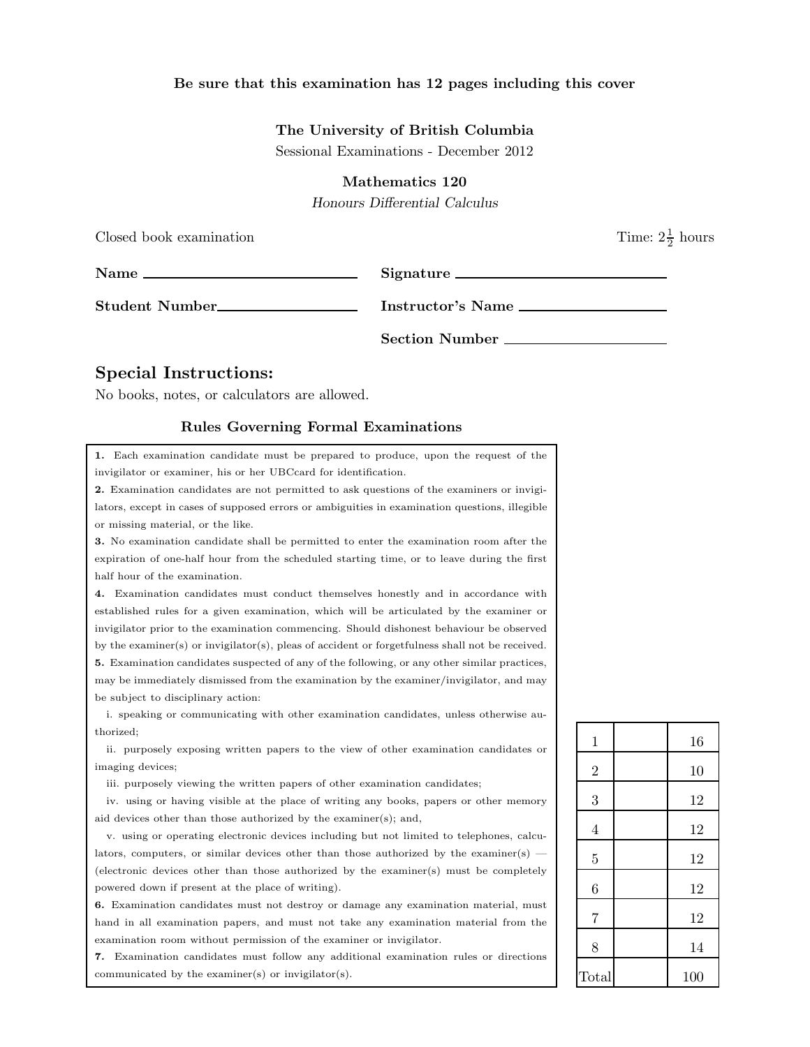## Be sure that this examination has 12 pages including this cover

## The University of British Columbia

Sessional Examinations - December 2012

Mathematics 120

Honours Differential Calculus

| Closed book examination |                   | Time: $2\frac{1}{2}$ hours |
|-------------------------|-------------------|----------------------------|
| $Name \_$               | Signature         |                            |
| Student Number          | Instructor's Name |                            |
|                         | Section Number    |                            |

# Special Instructions:

No books, notes, or calculators are allowed.

#### Rules Governing Formal Examinations

1. Each examination candidate must be prepared to produce, upon the request of the invigilator or examiner, his or her UBCcard for identification.

2. Examination candidates are not permitted to ask questions of the examiners or invigilators, except in cases of supposed errors or ambiguities in examination questions, illegible or missing material, or the like.

3. No examination candidate shall be permitted to enter the examination room after the expiration of one-half hour from the scheduled starting time, or to leave during the first half hour of the examination.

4. Examination candidates must conduct themselves honestly and in accordance with established rules for a given examination, which will be articulated by the examiner or invigilator prior to the examination commencing. Should dishonest behaviour be observed by the examiner(s) or invigilator(s), pleas of accident or forgetfulness shall not be received. 5. Examination candidates suspected of any of the following, or any other similar practices, may be immediately dismissed from the examination by the examiner/invigilator, and may be subject to disciplinary action:

i. speaking or communicating with other examination candidates, unless otherwise authorized;

ii. purposely exposing written papers to the view of other examination candidates or imaging devices;

iii. purposely viewing the written papers of other examination candidates;

iv. using or having visible at the place of writing any books, papers or other memory aid devices other than those authorized by the examiner(s); and,

v. using or operating electronic devices including but not limited to telephones, calculators, computers, or similar devices other than those authorized by the examiner(s) — (electronic devices other than those authorized by the examiner(s) must be completely powered down if present at the place of writing).

6. Examination candidates must not destroy or damage any examination material, must hand in all examination papers, and must not take any examination material from the examination room without permission of the examiner or invigilator.

7. Examination candidates must follow any additional examination rules or directions communicated by the examiner(s) or invigilator(s).

| $\mathbf{1}$   | 16  |
|----------------|-----|
| $\overline{2}$ | 10  |
|                |     |
| 3              | 12  |
| $\overline{4}$ | 12  |
| $\overline{5}$ | 12  |
| 6              | 12  |
| $\overline{7}$ | 12  |
| 8              | 14  |
| Total          | 100 |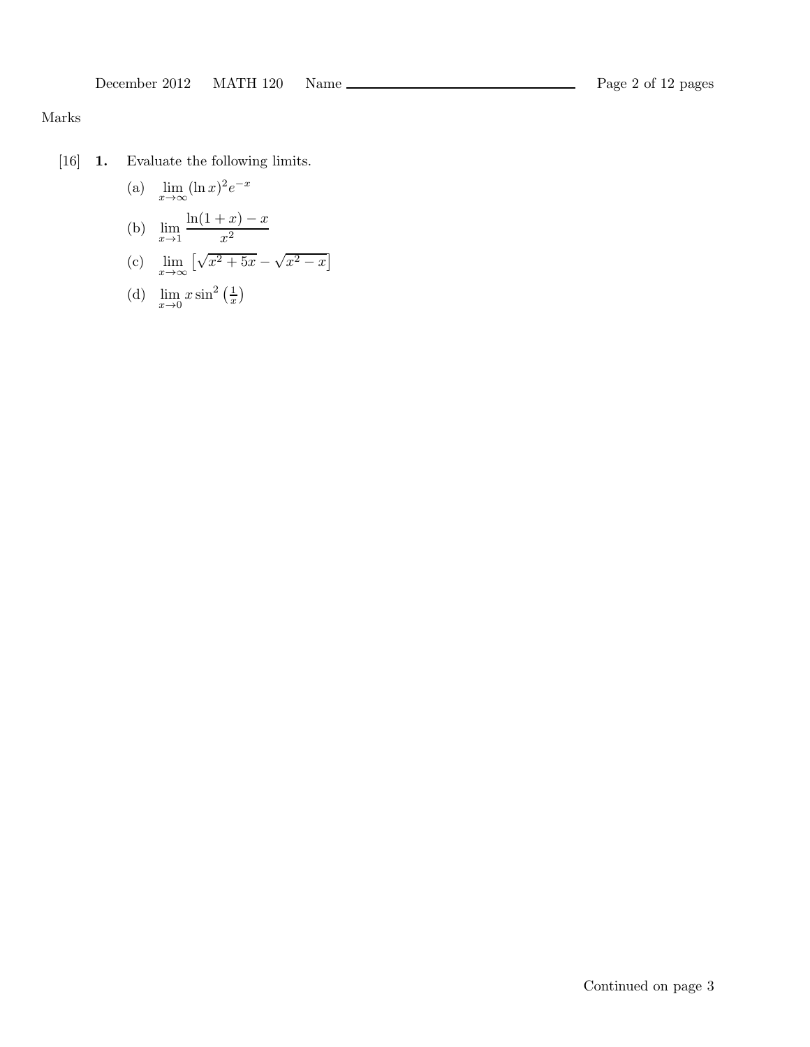# Marks

[16] 1. Evaluate the following limits.

(a) 
$$
\lim_{x \to \infty} (\ln x)^2 e^{-x}
$$
  
\n(b)  $\lim_{x \to 1} \frac{\ln(1+x) - x}{x^2}$   
\n(c)  $\lim_{x \to \infty} [\sqrt{x^2 + 5x} - \sqrt{x^2 - x}]$ 

(d) 
$$
\lim_{x \to 0} x \sin^2 \left(\frac{1}{x}\right)
$$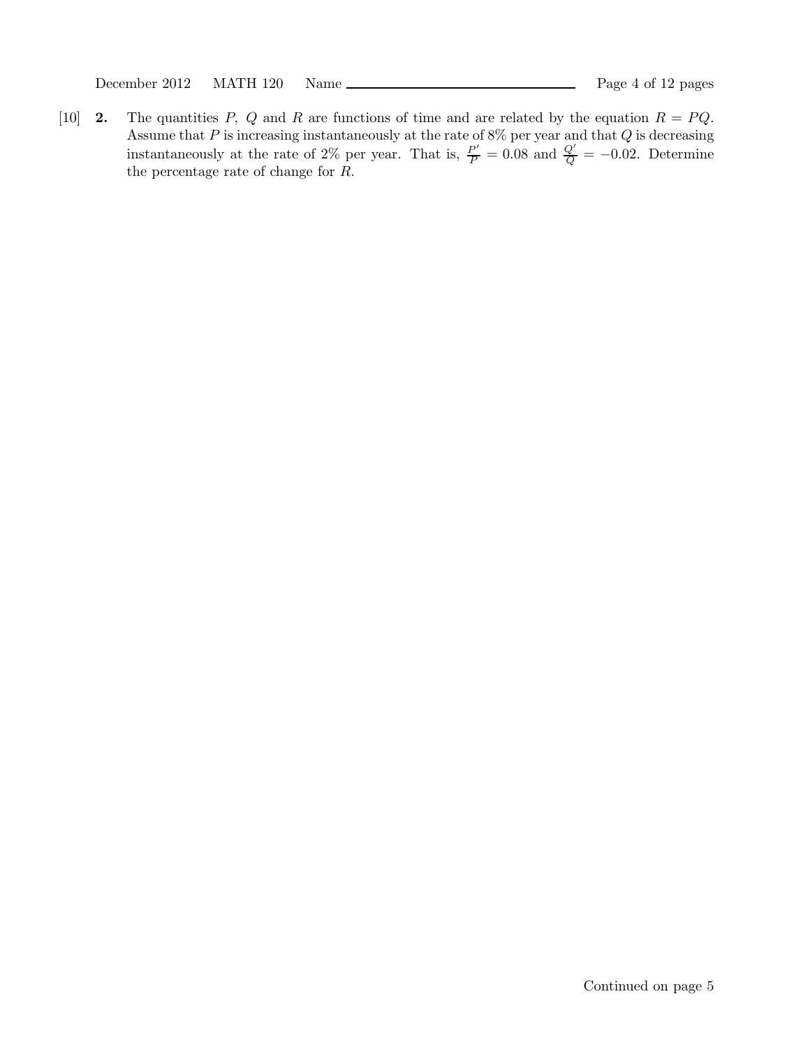December 2012 MATH 120 Name Page 4 of 12 pages

[10] **2.** The quantities P, Q and R are functions of time and are related by the equation  $R = PQ$ . Assume that  $P$  is increasing instantaneously at the rate of 8% per year and that  $Q$  is decreasing instantaneously at the rate of 2% per year. That is,  $\frac{P'}{P} = 0.08$  and  $\frac{Q'}{Q} = -0.02$ . Determine the percentage rate of change for R.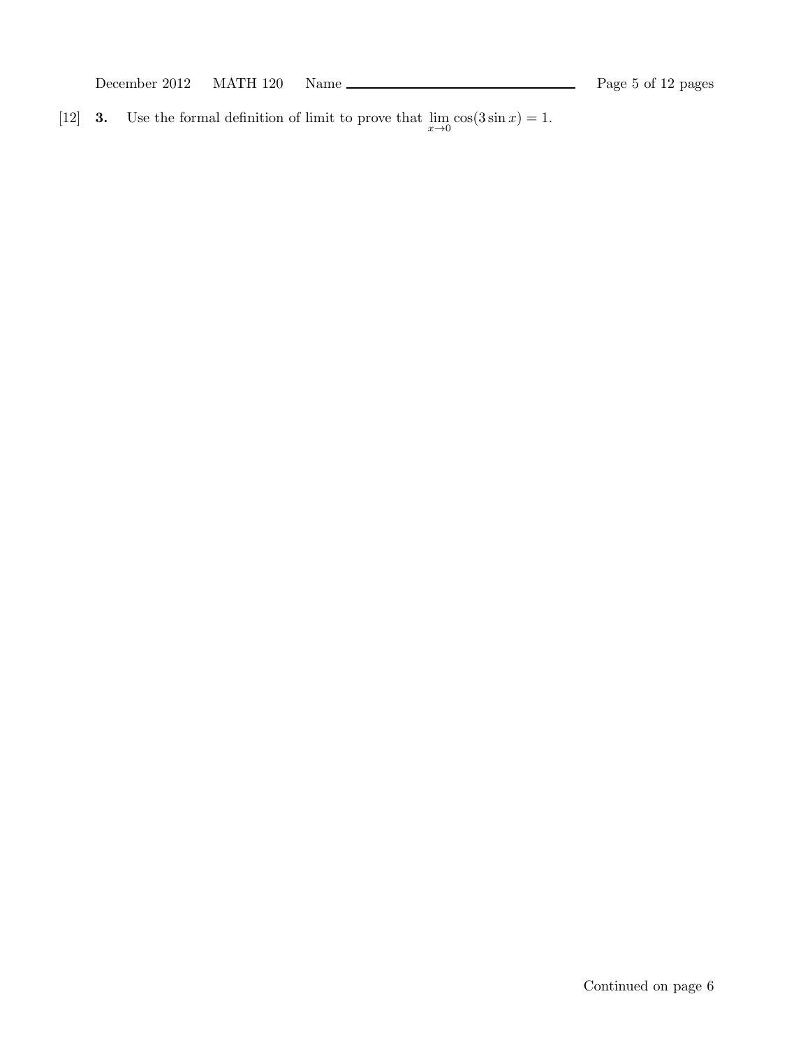December 2012 MATH 120 Name Page 5 of 12 pages

[12] **3.** Use the formal definition of limit to prove that  $\lim_{x\to 0} \cos(3 \sin x) = 1$ .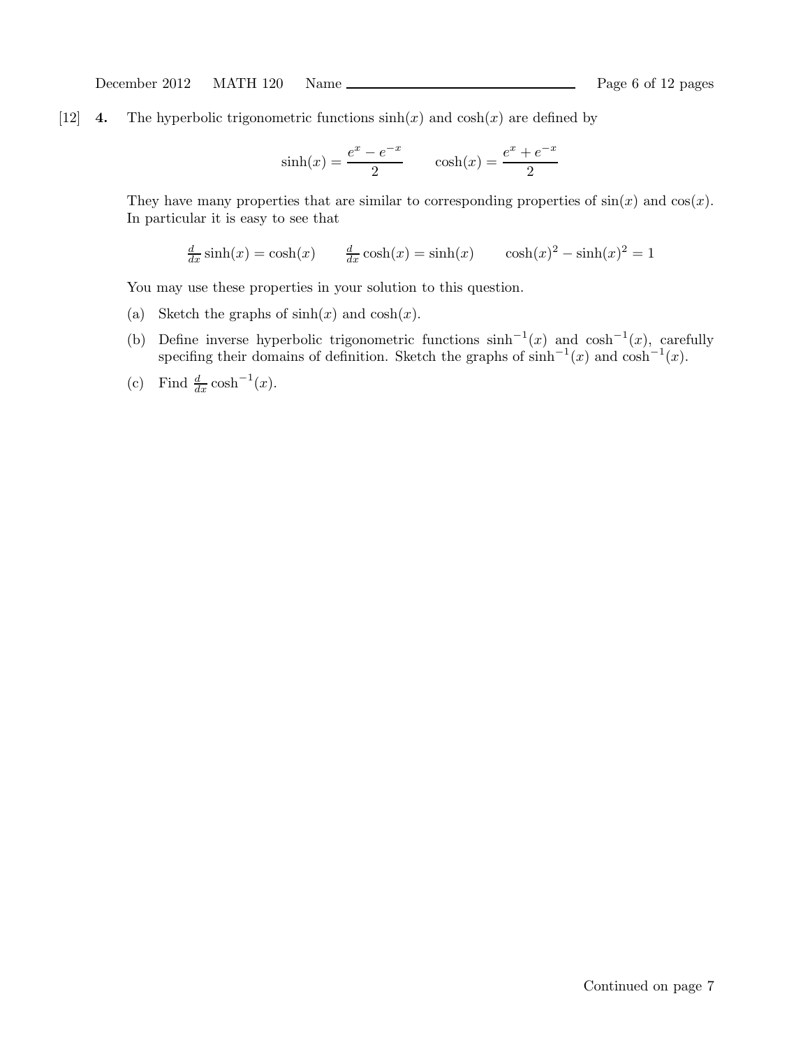[12] 4. The hyperbolic trigonometric functions  $sinh(x)$  and  $cosh(x)$  are defined by

$$
sinh(x) = \frac{e^x - e^{-x}}{2}
$$
  $cosh(x) = \frac{e^x + e^{-x}}{2}$ 

They have many properties that are similar to corresponding properties of  $sin(x)$  and  $cos(x)$ . In particular it is easy to see that

$$
\frac{d}{dx}\sinh(x) = \cosh(x) \qquad \frac{d}{dx}\cosh(x) = \sinh(x) \qquad \cosh(x)^2 - \sinh(x)^2 = 1
$$

You may use these properties in your solution to this question.

- (a) Sketch the graphs of  $sinh(x)$  and  $cosh(x)$ .
- (b) Define inverse hyperbolic trigonometric functions  $\sinh^{-1}(x)$  and  $\cosh^{-1}(x)$ , carefully specifing their domains of definition. Sketch the graphs of  $\sinh^{-1}(x)$  and  $\cosh^{-1}(x)$ .
- (c) Find  $\frac{d}{dx} \cosh^{-1}(x)$ .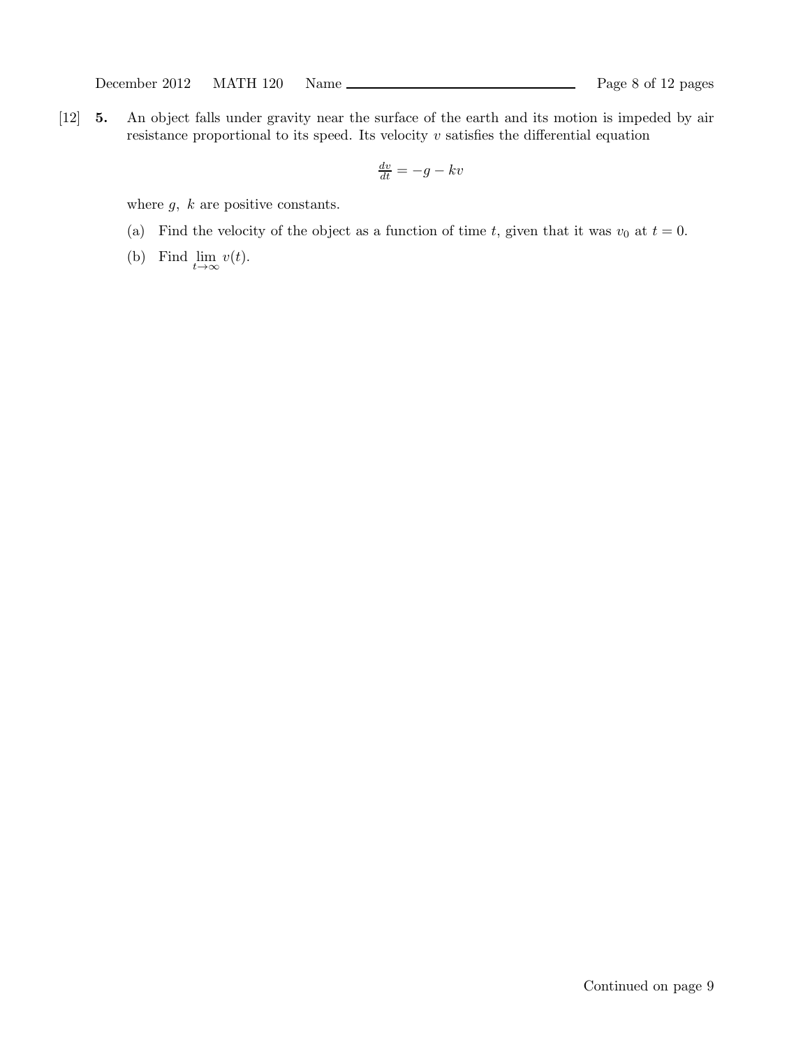[12] 5. An object falls under gravity near the surface of the earth and its motion is impeded by air resistance proportional to its speed. Its velocity  $v$  satisfies the differential equation

$$
\frac{dv}{dt} = -g - kv
$$

where  $g, k$  are positive constants.

- (a) Find the velocity of the object as a function of time t, given that it was  $v_0$  at  $t = 0$ .
- (b) Find  $\lim_{t\to\infty} v(t)$ .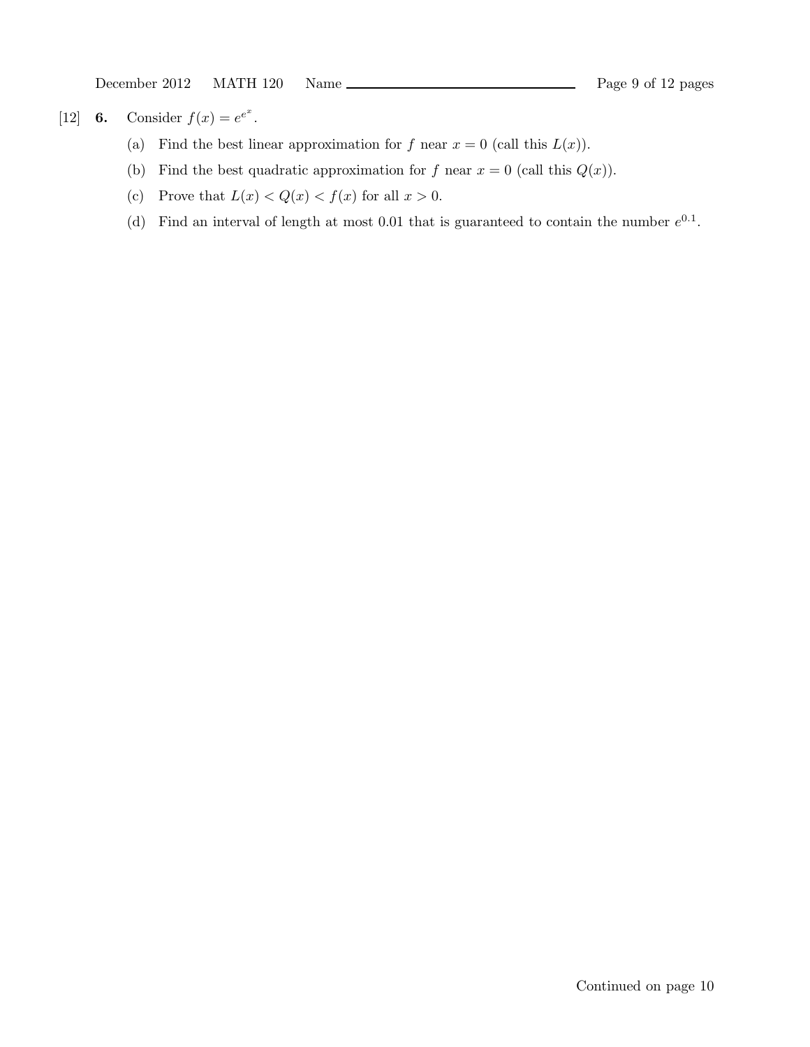[12] **6.** Consider  $f(x) = e^{e^x}$ .

- (a) Find the best linear approximation for f near  $x = 0$  (call this  $L(x)$ ).
- (b) Find the best quadratic approximation for f near  $x = 0$  (call this  $Q(x)$ ).
- (c) Prove that  $L(x) < Q(x) < f(x)$  for all  $x > 0$ .
- (d) Find an interval of length at most 0.01 that is guaranteed to contain the number  $e^{0.1}$ .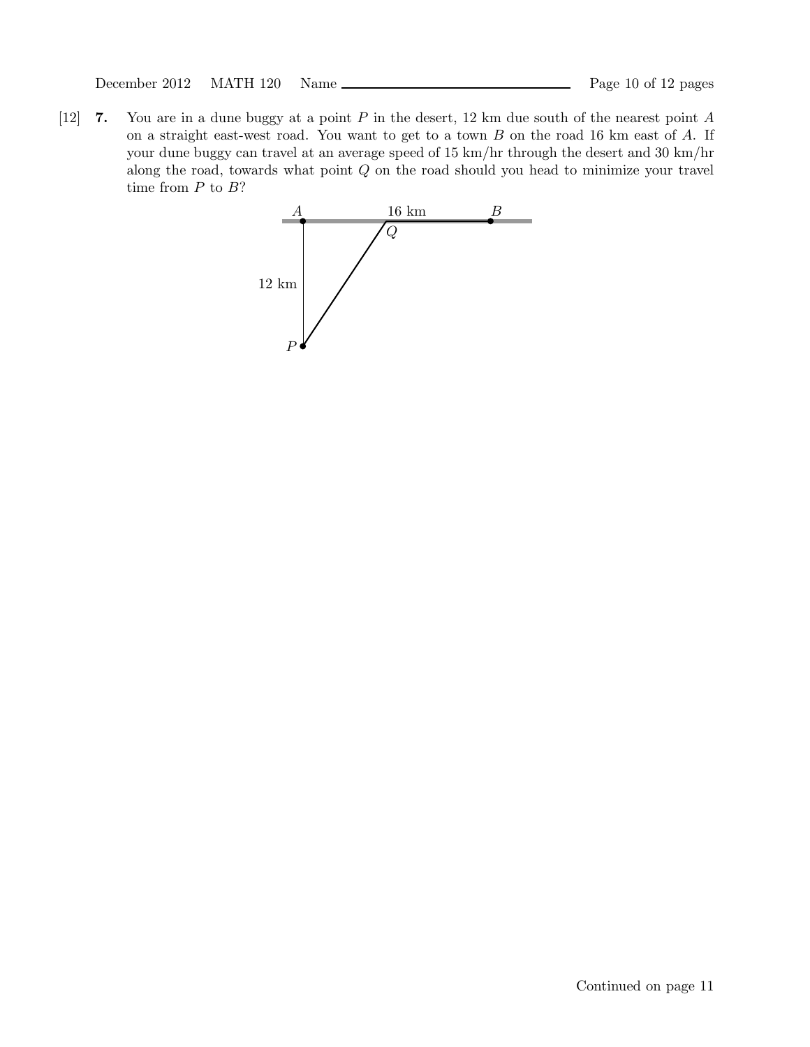[12] 7. You are in a dune buggy at a point P in the desert, 12 km due south of the nearest point A on a straight east-west road. You want to get to a town  $B$  on the road 16 km east of  $A$ . If your dune buggy can travel at an average speed of 15 km/hr through the desert and 30 km/hr along the road, towards what point  $Q$  on the road should you head to minimize your travel time from  $P$  to  $B$ ?